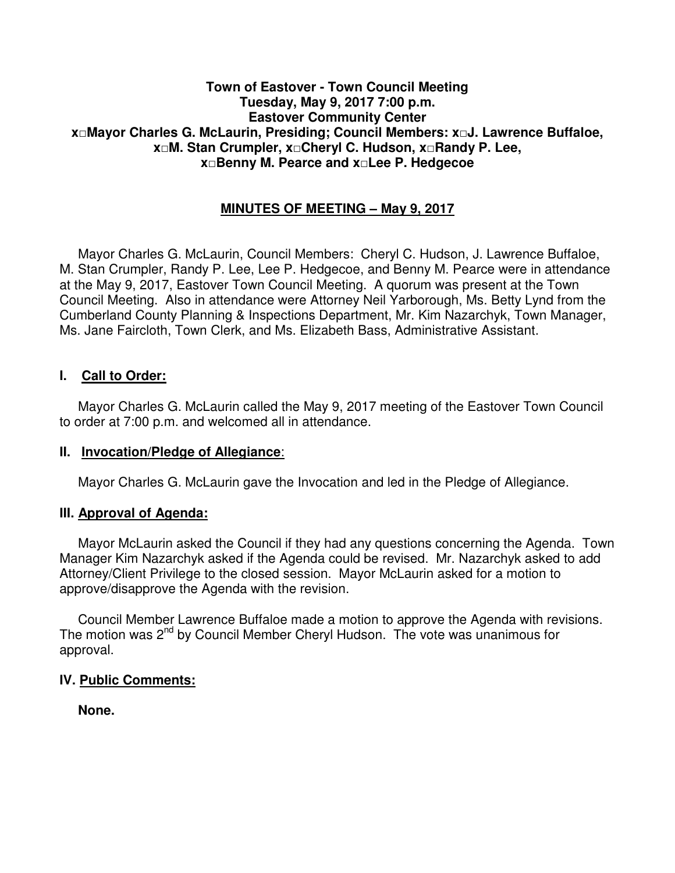#### **Town of Eastover - Town Council Meeting Tuesday, May 9, 2017 7:00 p.m. Eastover Community Center x□Mayor Charles G. McLaurin, Presiding; Council Members: x□J. Lawrence Buffaloe, x□M. Stan Crumpler, x□Cheryl C. Hudson, x□Randy P. Lee, x□Benny M. Pearce and x□Lee P. Hedgecoe**

# **MINUTES OF MEETING – May 9, 2017**

 Mayor Charles G. McLaurin, Council Members: Cheryl C. Hudson, J. Lawrence Buffaloe, M. Stan Crumpler, Randy P. Lee, Lee P. Hedgecoe, and Benny M. Pearce were in attendance at the May 9, 2017, Eastover Town Council Meeting. A quorum was present at the Town Council Meeting. Also in attendance were Attorney Neil Yarborough, Ms. Betty Lynd from the Cumberland County Planning & Inspections Department, Mr. Kim Nazarchyk, Town Manager, Ms. Jane Faircloth, Town Clerk, and Ms. Elizabeth Bass, Administrative Assistant.

## **I. Call to Order:**

 Mayor Charles G. McLaurin called the May 9, 2017 meeting of the Eastover Town Council to order at 7:00 p.m. and welcomed all in attendance.

#### **II. Invocation/Pledge of Allegiance**:

Mayor Charles G. McLaurin gave the Invocation and led in the Pledge of Allegiance.

#### **III. Approval of Agenda:**

 Mayor McLaurin asked the Council if they had any questions concerning the Agenda. Town Manager Kim Nazarchyk asked if the Agenda could be revised. Mr. Nazarchyk asked to add Attorney/Client Privilege to the closed session. Mayor McLaurin asked for a motion to approve/disapprove the Agenda with the revision.

 Council Member Lawrence Buffaloe made a motion to approve the Agenda with revisions. The motion was 2<sup>nd</sup> by Council Member Cheryl Hudson. The vote was unanimous for approval.

#### **IV. Public Comments:**

 **None.**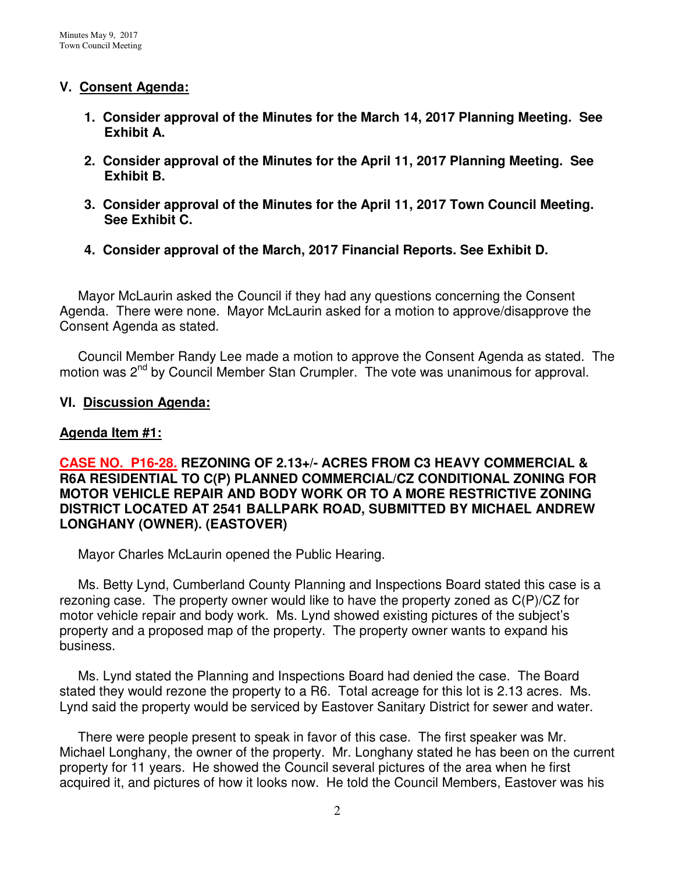## **V. Consent Agenda:**

- **1. Consider approval of the Minutes for the March 14, 2017 Planning Meeting. See Exhibit A.**
- **2. Consider approval of the Minutes for the April 11, 2017 Planning Meeting. See Exhibit B.**
- **3. Consider approval of the Minutes for the April 11, 2017 Town Council Meeting. See Exhibit C.**
- **4. Consider approval of the March, 2017 Financial Reports. See Exhibit D.**

Mayor McLaurin asked the Council if they had any questions concerning the Consent Agenda. There were none. Mayor McLaurin asked for a motion to approve/disapprove the Consent Agenda as stated.

 Council Member Randy Lee made a motion to approve the Consent Agenda as stated. The motion was 2<sup>nd</sup> by Council Member Stan Crumpler. The vote was unanimous for approval.

## **VI. Discussion Agenda:**

# **Agenda Item #1:**

### **CASE NO. P16-28. REZONING OF 2.13+/- ACRES FROM C3 HEAVY COMMERCIAL & R6A RESIDENTIAL TO C(P) PLANNED COMMERCIAL/CZ CONDITIONAL ZONING FOR MOTOR VEHICLE REPAIR AND BODY WORK OR TO A MORE RESTRICTIVE ZONING DISTRICT LOCATED AT 2541 BALLPARK ROAD, SUBMITTED BY MICHAEL ANDREW LONGHANY (OWNER). (EASTOVER)**

Mayor Charles McLaurin opened the Public Hearing.

 Ms. Betty Lynd, Cumberland County Planning and Inspections Board stated this case is a rezoning case. The property owner would like to have the property zoned as C(P)/CZ for motor vehicle repair and body work. Ms. Lynd showed existing pictures of the subject's property and a proposed map of the property. The property owner wants to expand his business.

 Ms. Lynd stated the Planning and Inspections Board had denied the case. The Board stated they would rezone the property to a R6. Total acreage for this lot is 2.13 acres. Ms. Lynd said the property would be serviced by Eastover Sanitary District for sewer and water.

 There were people present to speak in favor of this case. The first speaker was Mr. Michael Longhany, the owner of the property. Mr. Longhany stated he has been on the current property for 11 years. He showed the Council several pictures of the area when he first acquired it, and pictures of how it looks now. He told the Council Members, Eastover was his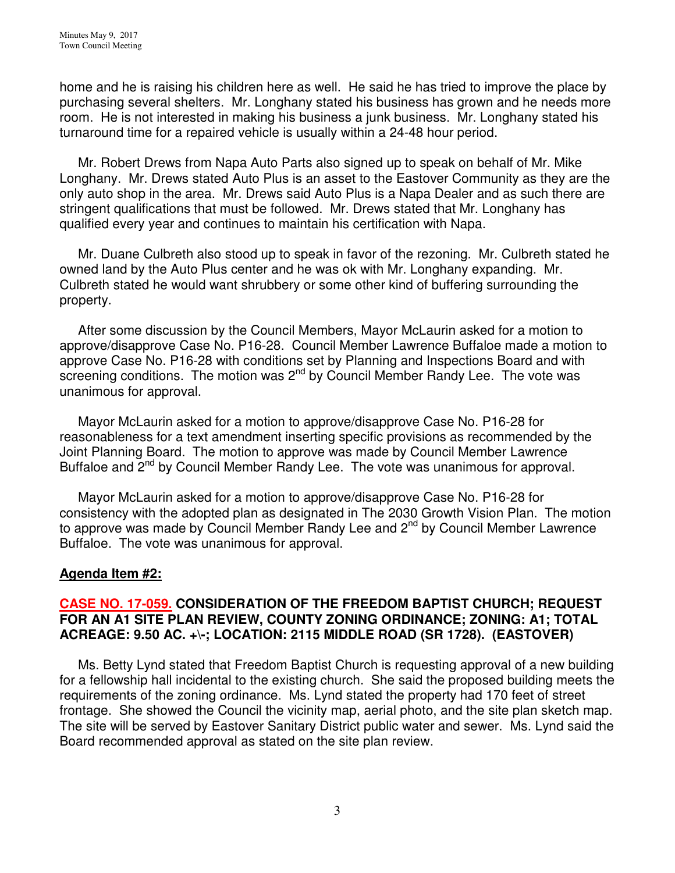home and he is raising his children here as well. He said he has tried to improve the place by purchasing several shelters. Mr. Longhany stated his business has grown and he needs more room. He is not interested in making his business a junk business. Mr. Longhany stated his turnaround time for a repaired vehicle is usually within a 24-48 hour period.

 Mr. Robert Drews from Napa Auto Parts also signed up to speak on behalf of Mr. Mike Longhany. Mr. Drews stated Auto Plus is an asset to the Eastover Community as they are the only auto shop in the area. Mr. Drews said Auto Plus is a Napa Dealer and as such there are stringent qualifications that must be followed. Mr. Drews stated that Mr. Longhany has qualified every year and continues to maintain his certification with Napa.

 Mr. Duane Culbreth also stood up to speak in favor of the rezoning. Mr. Culbreth stated he owned land by the Auto Plus center and he was ok with Mr. Longhany expanding. Mr. Culbreth stated he would want shrubbery or some other kind of buffering surrounding the property.

 After some discussion by the Council Members, Mayor McLaurin asked for a motion to approve/disapprove Case No. P16-28. Council Member Lawrence Buffaloe made a motion to approve Case No. P16-28 with conditions set by Planning and Inspections Board and with screening conditions. The motion was  $2<sup>nd</sup>$  by Council Member Randy Lee. The vote was unanimous for approval.

Mayor McLaurin asked for a motion to approve/disapprove Case No. P16-28 for reasonableness for a text amendment inserting specific provisions as recommended by the Joint Planning Board. The motion to approve was made by Council Member Lawrence Buffaloe and 2<sup>nd</sup> by Council Member Randy Lee. The vote was unanimous for approval.

 Mayor McLaurin asked for a motion to approve/disapprove Case No. P16-28 for consistency with the adopted plan as designated in The 2030 Growth Vision Plan. The motion to approve was made by Council Member Randy Lee and 2<sup>nd</sup> by Council Member Lawrence Buffaloe. The vote was unanimous for approval.

#### **Agenda Item #2:**

## **CASE NO. 17-059. CONSIDERATION OF THE FREEDOM BAPTIST CHURCH; REQUEST FOR AN A1 SITE PLAN REVIEW, COUNTY ZONING ORDINANCE; ZONING: A1; TOTAL ACREAGE: 9.50 AC. +\-; LOCATION: 2115 MIDDLE ROAD (SR 1728). (EASTOVER)**

 Ms. Betty Lynd stated that Freedom Baptist Church is requesting approval of a new building for a fellowship hall incidental to the existing church. She said the proposed building meets the requirements of the zoning ordinance. Ms. Lynd stated the property had 170 feet of street frontage. She showed the Council the vicinity map, aerial photo, and the site plan sketch map. The site will be served by Eastover Sanitary District public water and sewer. Ms. Lynd said the Board recommended approval as stated on the site plan review.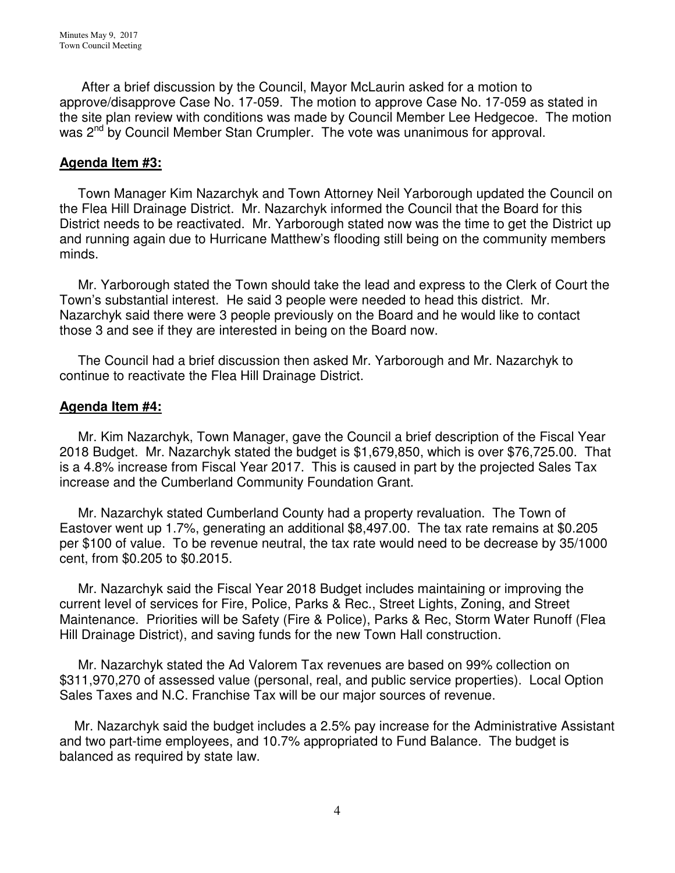After a brief discussion by the Council, Mayor McLaurin asked for a motion to approve/disapprove Case No. 17-059. The motion to approve Case No. 17-059 as stated in the site plan review with conditions was made by Council Member Lee Hedgecoe. The motion was 2<sup>nd</sup> by Council Member Stan Crumpler. The vote was unanimous for approval.

## **Agenda Item #3:**

Town Manager Kim Nazarchyk and Town Attorney Neil Yarborough updated the Council on the Flea Hill Drainage District. Mr. Nazarchyk informed the Council that the Board for this District needs to be reactivated. Mr. Yarborough stated now was the time to get the District up and running again due to Hurricane Matthew's flooding still being on the community members minds.

 Mr. Yarborough stated the Town should take the lead and express to the Clerk of Court the Town's substantial interest. He said 3 people were needed to head this district. Mr. Nazarchyk said there were 3 people previously on the Board and he would like to contact those 3 and see if they are interested in being on the Board now.

 The Council had a brief discussion then asked Mr. Yarborough and Mr. Nazarchyk to continue to reactivate the Flea Hill Drainage District.

#### **Agenda Item #4:**

 Mr. Kim Nazarchyk, Town Manager, gave the Council a brief description of the Fiscal Year 2018 Budget. Mr. Nazarchyk stated the budget is \$1,679,850, which is over \$76,725.00. That is a 4.8% increase from Fiscal Year 2017. This is caused in part by the projected Sales Tax increase and the Cumberland Community Foundation Grant.

 Mr. Nazarchyk stated Cumberland County had a property revaluation. The Town of Eastover went up 1.7%, generating an additional \$8,497.00. The tax rate remains at \$0.205 per \$100 of value. To be revenue neutral, the tax rate would need to be decrease by 35/1000 cent, from \$0.205 to \$0.2015.

 Mr. Nazarchyk said the Fiscal Year 2018 Budget includes maintaining or improving the current level of services for Fire, Police, Parks & Rec., Street Lights, Zoning, and Street Maintenance. Priorities will be Safety (Fire & Police), Parks & Rec, Storm Water Runoff (Flea Hill Drainage District), and saving funds for the new Town Hall construction.

 Mr. Nazarchyk stated the Ad Valorem Tax revenues are based on 99% collection on \$311,970,270 of assessed value (personal, real, and public service properties). Local Option Sales Taxes and N.C. Franchise Tax will be our major sources of revenue.

 Mr. Nazarchyk said the budget includes a 2.5% pay increase for the Administrative Assistant and two part-time employees, and 10.7% appropriated to Fund Balance. The budget is balanced as required by state law.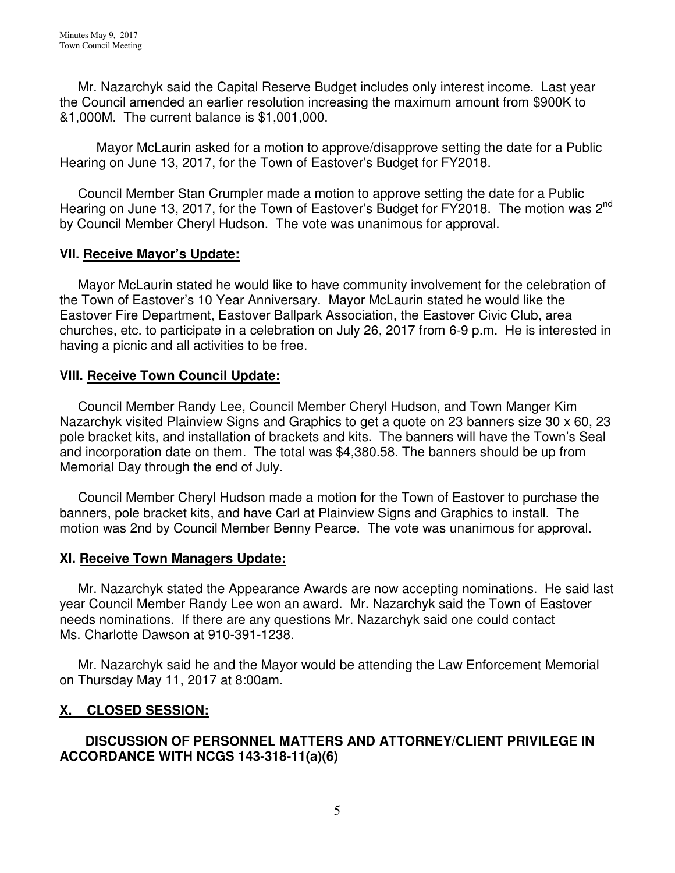Mr. Nazarchyk said the Capital Reserve Budget includes only interest income. Last year the Council amended an earlier resolution increasing the maximum amount from \$900K to &1,000M. The current balance is \$1,001,000.

 Mayor McLaurin asked for a motion to approve/disapprove setting the date for a Public Hearing on June 13, 2017, for the Town of Eastover's Budget for FY2018.

 Council Member Stan Crumpler made a motion to approve setting the date for a Public Hearing on June 13, 2017, for the Town of Eastover's Budget for FY2018. The motion was 2<sup>nd</sup> by Council Member Cheryl Hudson. The vote was unanimous for approval.

## **VII. Receive Mayor's Update:**

 Mayor McLaurin stated he would like to have community involvement for the celebration of the Town of Eastover's 10 Year Anniversary. Mayor McLaurin stated he would like the Eastover Fire Department, Eastover Ballpark Association, the Eastover Civic Club, area churches, etc. to participate in a celebration on July 26, 2017 from 6-9 p.m. He is interested in having a picnic and all activities to be free.

#### **VIII. Receive Town Council Update:**

 Council Member Randy Lee, Council Member Cheryl Hudson, and Town Manger Kim Nazarchyk visited Plainview Signs and Graphics to get a quote on 23 banners size 30 x 60, 23 pole bracket kits, and installation of brackets and kits. The banners will have the Town's Seal and incorporation date on them. The total was \$4,380.58. The banners should be up from Memorial Day through the end of July.

 Council Member Cheryl Hudson made a motion for the Town of Eastover to purchase the banners, pole bracket kits, and have Carl at Plainview Signs and Graphics to install. The motion was 2nd by Council Member Benny Pearce. The vote was unanimous for approval.

#### **XI. Receive Town Managers Update:**

 Mr. Nazarchyk stated the Appearance Awards are now accepting nominations. He said last year Council Member Randy Lee won an award. Mr. Nazarchyk said the Town of Eastover needs nominations. If there are any questions Mr. Nazarchyk said one could contact Ms. Charlotte Dawson at 910-391-1238.

 Mr. Nazarchyk said he and the Mayor would be attending the Law Enforcement Memorial on Thursday May 11, 2017 at 8:00am.

## **X. CLOSED SESSION:**

## **DISCUSSION OF PERSONNEL MATTERS AND ATTORNEY/CLIENT PRIVILEGE IN ACCORDANCE WITH NCGS 143-318-11(a)(6)**